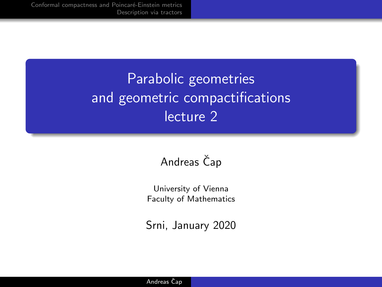# Parabolic geometries and geometric compactifications lecture 2

### Andreas Čap

University of Vienna Faculty of Mathematics

Srni, January 2020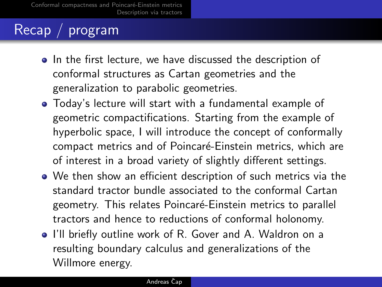# Recap / program

- In the first lecture, we have discussed the description of conformal structures as Cartan geometries and the generalization to parabolic geometries.
- Today's lecture will start with a fundamental example of geometric compactifications. Starting from the example of hyperbolic space, I will introduce the concept of conformally compact metrics and of Poincaré-Einstein metrics, which are of interest in a broad variety of slightly different settings.
- We then show an efficient description of such metrics via the standard tractor bundle associated to the conformal Cartan geometry. This relates Poincaré-Einstein metrics to parallel tractors and hence to reductions of conformal holonomy.
- I'll briefly outline work of R. Gover and A. Waldron on a resulting boundary calculus and generalizations of the Willmore energy.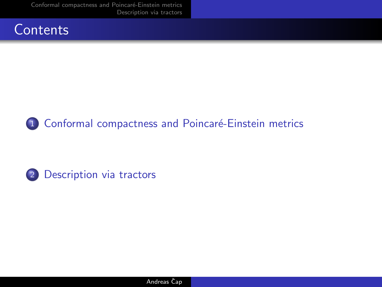

### 1 Conformal compactness and Poincaré-Einstein metrics

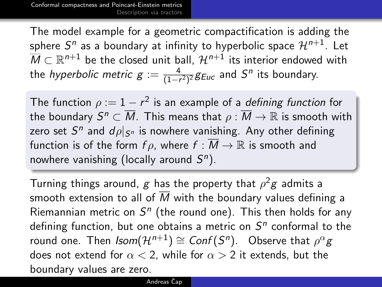<span id="page-3-0"></span>The model example for a geometric compactification is adding the sphere  $S^{n}$  as a boundary at infinity to hyperbolic space  $\mathcal{H}^{n+1}.$  Let  $\overline{M}\subset \mathbb{R}^{n+1}$  be the closed unit ball,  $\mathcal{H}^{n+1}$  its interior endowed with the *hyperbolic metric g* :=  $\frac{4}{(1-r^2)^2}g_{Euc}$  and  $S^n$  its boundary.

The function  $\rho:=1-r^2$  is an example of a *defining function* for the boundary  $S^n \subset \overline{M}.$  This means that  $\rho : \overline{M} \to \mathbb{R}$  is smooth with zero set  $S^{n}$  and  $d\rho|_{S^{n}}$  is nowhere vanishing. Any other defining function is of the form  $f \rho$ , where  $f : \overline{M} \to \mathbb{R}$  is smooth and nowhere vanishing (locally around  $S<sup>n</sup>$ ).

Turning things around,  $g$  has the property that  $\rho^2 g$  admits a smooth extension to all of  $\overline{M}$  with the boundary values defining a Riemannian metric on  $S<sup>n</sup>$  (the round one). This then holds for any defining function, but one obtains a metric on  $S<sup>n</sup>$  conformal to the round one. Then  $\mathit{Isom}(\mathcal{H}^{n+1})\cong\mathit{Conf}(S^n).$  Observe that  $\rho^\alpha g$ does not extend for  $\alpha < 2$ , while for  $\alpha > 2$  it extends, but the boundary values are zero.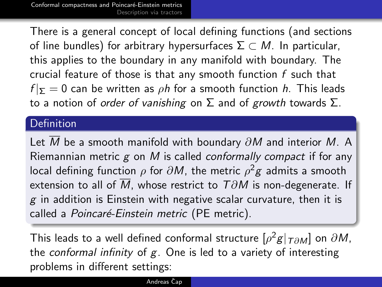Conformal compactness and Poincaré-Einstein metrics [Description via tractors](#page-6-0)

There is a general concept of local defining functions (and sections of line bundles) for arbitrary hypersurfaces  $\Sigma \subset M$ . In particular, this applies to the boundary in any manifold with boundary. The crucial feature of those is that any smooth function  $f$  such that  $f|_{\Sigma} = 0$  can be written as  $\rho h$  for a smooth function h. This leads to a notion of *order of vanishing* on  $\Sigma$  and of *growth* towards  $\Sigma$ .

#### Definition

Let  $\overline{M}$  be a smooth manifold with boundary  $\partial M$  and interior  $M$ . A Riemannian metric  $g$  on  $M$  is called *conformally compact* if for any local defining function  $\rho$  for  $\partial M$ , the metric  $\rho^2 g$  admits a smooth extension to all of  $\overline{M}$ , whose restrict to  $T\partial M$  is non-degenerate. If  $g$  in addition is Einstein with negative scalar curvature, then it is called a Poincaré-Einstein metric (PE metric).

This leads to a well defined conformal structure  $[\rho^2{\rm g}|_{\rm \scriptsize T\partial M}]$  on  $\partial M$ , the *conformal infinity* of  $g$ . One is led to a variety of interesting problems in different settings: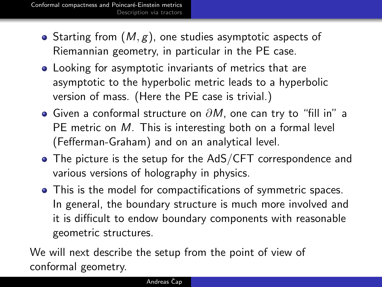- Starting from  $(M, g)$ , one studies asymptotic aspects of Riemannian geometry, in particular in the PE case.
- Looking for asymptotic invariants of metrics that are asymptotic to the hyperbolic metric leads to a hyperbolic version of mass. (Here the PE case is trivial.)
- $\bullet$  Given a conformal structure on  $\partial M$ , one can try to "fill in" a PE metric on M. This is interesting both on a formal level (Fefferman-Graham) and on an analytical level.
- The picture is the setup for the AdS/CFT correspondence and various versions of holography in physics.
- This is the model for compactifications of symmetric spaces. In general, the boundary structure is much more involved and it is difficult to endow boundary components with reasonable geometric structures.

We will next describe the setup from the point of view of conformal geometry.

#### Andreas Čap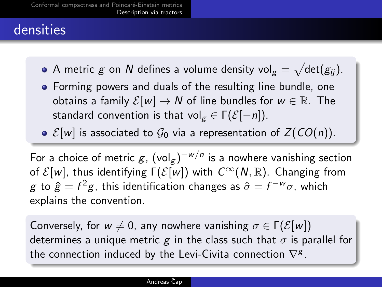## <span id="page-6-0"></span>densities

- A metric  $g$  on  $N$  defines a volume density vol ${}_g=\sqrt{\det(g_{ij})}.$
- Forming powers and duals of the resulting line bundle, one obtains a family  $\mathcal{E}[w] \to N$  of line bundles for  $w \in \mathbb{R}$ . The standard convention is that vol<sub>g</sub>  $\in \Gamma(\mathcal{E}[-n])$ .
- $\bullet$   $\mathcal{E}[w]$  is associated to  $\mathcal{G}_0$  via a representation of  $Z(CO(n))$ .

For a choice of metric  $g$ ,  $(\mathsf{vol}_g)^{-w/n}$  is a nowhere vanishing section of  $\mathcal{E}[w]$ , thus identifying  $\Gamma(\mathcal{E}[w])$  with  $C^{\infty}(N,\mathbb{R})$ . Changing from  $g$  to  $\hat{g}=f^2g$ , this identification changes as  $\hat{\sigma}=f^{-w}\sigma$ , which explains the convention.

Conversely, for  $w \neq 0$ , any nowhere vanishing  $\sigma \in \Gamma(\mathcal{E}[w])$ determines a unique metric g in the class such that  $\sigma$  is parallel for the connection induced by the Levi-Civita connection  $\nabla^g$ .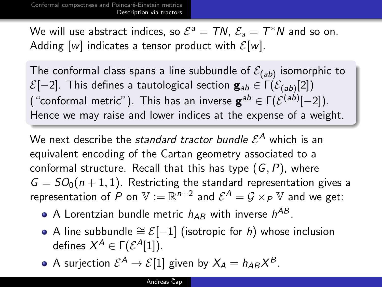We will use abstract indices, so  $\mathcal{E}^{\mathsf{a}} = \mathcal{T} N$ ,  $\mathcal{E}_{\mathsf{a}} = \mathcal{T}^* N$  and so on. Adding [w] indicates a tensor product with  $\mathcal{E}[w]$ .

The conformal class spans a line subbundle of  $\mathcal{E}_{(\mathsf{ab})}$  isomorphic to  $\mathcal{E}[-2]$ . This defines a tautological section  $\mathbf{g}_{ab} \in \mathsf{\Gamma}(\mathcal{E}_{(ab)}[2])$ ("conformal metric"). This has an inverse  $\bold{g}^{ab} \in \Gamma(\mathcal{E}^{(ab)}[-2]).$ Hence we may raise and lower indices at the expense of a weight.

We next describe the *standard tractor bundle*  $\mathcal{E}^A$  which is an equivalent encoding of the Cartan geometry associated to a conformal structure. Recall that this has type  $(G, P)$ , where  $G = SO<sub>0</sub>(n + 1, 1)$ . Restricting the standard representation gives a representation of  $P$  on  $\mathbb{V}:=\mathbb{R}^{n+2}$  and  $\mathcal{E}^A=\mathcal{G}\times_P\mathbb{V}$  and we get:

- A Lorentzian bundle metric  $h_{AB}$  with inverse  $\mathit{h}^{AB}.$
- $\bullet$  A line subbundle  $\cong$   $\mathcal{E}[-1]$  (isotropic for h) whose inclusion defines  $X^A \in \Gamma(\mathcal{E}^A[1]).$
- A surjection  $\mathcal{E}^A \rightarrow \mathcal{E}[1]$  given by  $X_A = h_{AB} X^B$ .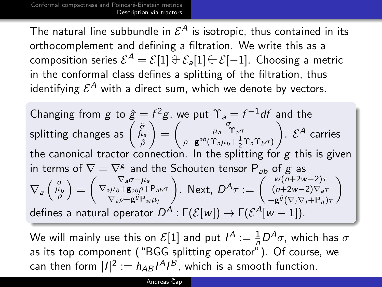The natural line subbundle in  $\mathcal{E}^{\pmb{A}}$  is isotropic, thus contained in its orthocomplement and defining a filtration. We write this as a composition series  $\mathcal{E}^A = \mathcal{E}[1] \oplus \mathcal{E}_a[1] \oplus \mathcal{E}[-1]$ . Choosing a metric in the conformal class defines a splitting of the filtration, thus identifying  $\mathcal{E}^A$  with a direct sum, which we denote by vectors.

Changing from  $g$  to  $\hat{g} = f^2 g$ , we put  $\Upsilon_a = f^{-1} df$  and the splitting changes as  $\left(\begin{smallmatrix} \hat{\sigma} & \hat{\rho} & \hat{\rho} \end{smallmatrix}\right)$  $\hat{\rho}$  $= \begin{pmatrix} \sigma & \sigma \\ \mu_a + \gamma_a \sigma \\ \gamma_b (\chi_a) & \gamma_b \end{pmatrix}$  $\rho - \mathbf{g}^{ab} (\Upsilon_a \mu_b + \frac{1}{2} \Upsilon_a \Upsilon_b \sigma)$ ).  $\mathcal{E}^A$  carries the canonical tractor connection. In the splitting for  $g$  this is given in terms of  $\nabla = \nabla^g$  and the Schouten tensor  $\mathsf{P}_{\mathsf{ab}}$  of  $g$  as  $\nabla_a\left(\begin{smallmatrix} \sigma \\ \mu_b \\ \rho \end{smallmatrix}\right)$  $\bigg) = \bigg( \begin{smallmatrix} \nabla_a \sigma - \mu_a \ \nabla_a \mu_b + \mathbf{g}_{ab} \rho + \mathbf{P}_{ab} \sigma \end{smallmatrix}$  $\nabla_a \rho - \mathbf{g}^{ij} \mathsf{P}_{ai} \mu_j$  $\Bigg). \text{ Next, } D^A \tau := \left( \begin{array}{c} w(n+2w-2)\tau \\ (n+2w-2)\nabla_a \tau \end{array} \right)$  $-\mathbf{g}^{ij}(\nabla_i\nabla_j+\mathsf{P}_{ij})\tau$  $\setminus$ defines a natural operator  $D^A$  :  $\mathsf{\Gamma}({\mathcal E}[w]) \to \mathsf{\Gamma}({\mathcal E}^A[w-1]).$ 

We will mainly use this on  $\mathcal{E}[1]$  and put  $I^A:=\frac{1}{n}D^A\sigma$ , which has  $\sigma$ as its top component ("BGG splitting operator"). Of course, we can then form  $|I|^2:=h_{AB}I^AI^B$ , which is a smooth function.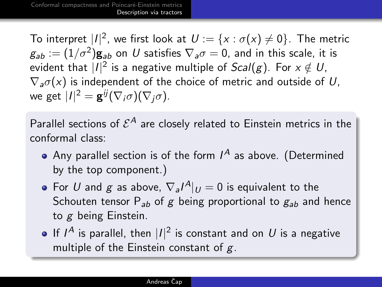To interpret  $|I|^2$ , we first look at  $U:=\{x:\sigma(x)\neq 0\}.$  The metric  $\mathrm{g}_{ab}:=(1/\sigma^2)\mathbf{g}_{ab}$  on  $U$  satisfies  $\nabla_a\sigma=0$ , and in this scale, it is evident that  $|{\it I}|^2$  is a negative multiple of  $Scal(g).$  For  $x\notin U,$  $\nabla_{a}\sigma(x)$  is independent of the choice of metric and outside of U, we get  $|I|^2 = \mathbf{g}^{ij}(\nabla_i \sigma)(\nabla_j \sigma)$ .

Parallel sections of  $\mathcal{E}^A$  are closely related to Einstein metrics in the conformal class:

- Any parallel section is of the form  $I^A$  as above. (Determined by the top component.)
- For  $U$  and  $g$  as above,  $\nabla_a I^A |_U = 0$  is equivalent to the Schouten tensor  $P_{ab}$  of g being proportional to  $g_{ab}$  and hence to g being Einstein.
- If  $I^A$  is parallel, then  $|I|^2$  is constant and on  $U$  is a negative multiple of the Einstein constant of  $g$ .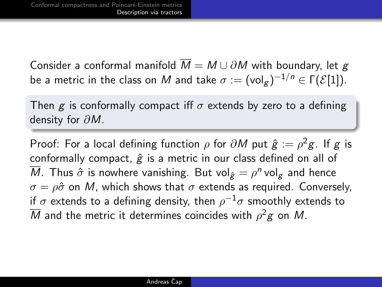Consider a conformal manifold  $\overline{M} = M \cup \partial M$  with boundary, let g be a metric in the class on  $M$  and take  $\sigma:=(\mathsf{vol}_\mathcal{B})^{-1/n}\in\Gamma(\mathcal{E}[1]).$ 

Then g is conformally compact iff  $\sigma$  extends by zero to a defining density for ∂M.

Proof: For a local defining function  $\rho$  for  $\partial M$  put  $\hat{g}:=\rho^2 g$ . If  $g$  is conformally compact,  $\hat{g}$  is a metric in our class defined on all of  $\overline{\mathcal{M}}$ . Thus  $\hat{\sigma}$  is nowhere vanishing. But vol $_{\hat{\mathcal{g}}}=\rho^n$ vol $_{\mathcal{g}}$  and hence  $\sigma = \rho \hat{\sigma}$  on M, which shows that  $\sigma$  extends as required. Conversely, if  $\sigma$  extends to a defining density, then  $\rho^{-1}\sigma$  smoothly extends to  $\overline{M}$  and the metric it determines coincides with  $\rho^2g$  on  $M.$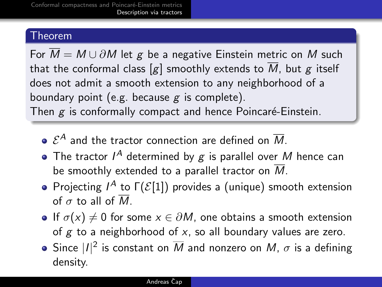### Theorem

For  $\overline{M} = M \cup \partial M$  let g be a negative Einstein metric on M such that the conformal class [g] smoothly extends to  $\overline{M}$ , but g itself does not admit a smooth extension to any neighborhood of a boundary point (e.g. because  $g$  is complete). Then  $g$  is conformally compact and hence Poincaré-Einstein.

- $\mathcal{E}^A$  and the tractor connection are defined on  $\overline{M}.$
- The tractor  $I^A$  determined by  $g$  is parallel over  $M$  hence can be smoothly extended to a parallel tractor on M.
- Projecting  $I^A$  to  $\Gamma(\mathcal{E}[1])$  provides a (unique) smooth extension of  $\sigma$  to all of  $\overline{M}$ .
- If  $σ(x) \neq 0$  for some  $x \in \partial M$ , one obtains a smooth extension of  $g$  to a neighborhood of  $x$ , so all boundary values are zero.
- Since  $|I|^2$  is constant on  $\overline{M}$  and nonzero on  $M$ ,  $\sigma$  is a defining density.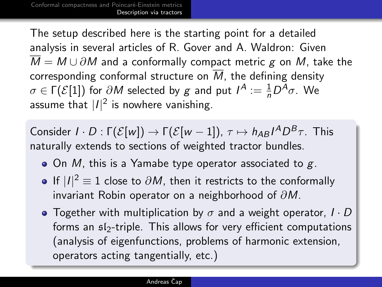The setup described here is the starting point for a detailed analysis in several articles of R. Gover and A. Waldron: Given  $\overline{M} = M \cup \partial M$  and a conformally compact metric g on M, take the corresponding conformal structure on M, the defining density  $\sigma \in \Gamma(\mathcal{E}[1])$  for  $\partial M$  selected by  $g$  and put  $I^A := \frac{1}{n} D^A \sigma$ . We assume that  $|I|^2$  is nowhere vanishing.

Consider  $I\cdot D$  :  $\Gamma(\mathcal E[w])\to \Gamma(\mathcal E[w-1]),\ \tau\mapsto h_{AB}I^AD^B\tau.$  This naturally extends to sections of weighted tractor bundles.

- $\bullet$  On *M*, this is a Yamabe type operator associated to g.
- If  $|I|^2 \equiv 1$  close to  $\partial M$ , then it restricts to the conformally invariant Robin operator on a neighborhood of  $\partial M$ .
- Together with multiplication by  $\sigma$  and a weight operator,  $I \cdot D$ forms an  $\mathfrak{sl}_2$ -triple. This allows for very efficient computations (analysis of eigenfunctions, problems of harmonic extension, operators acting tangentially, etc.)